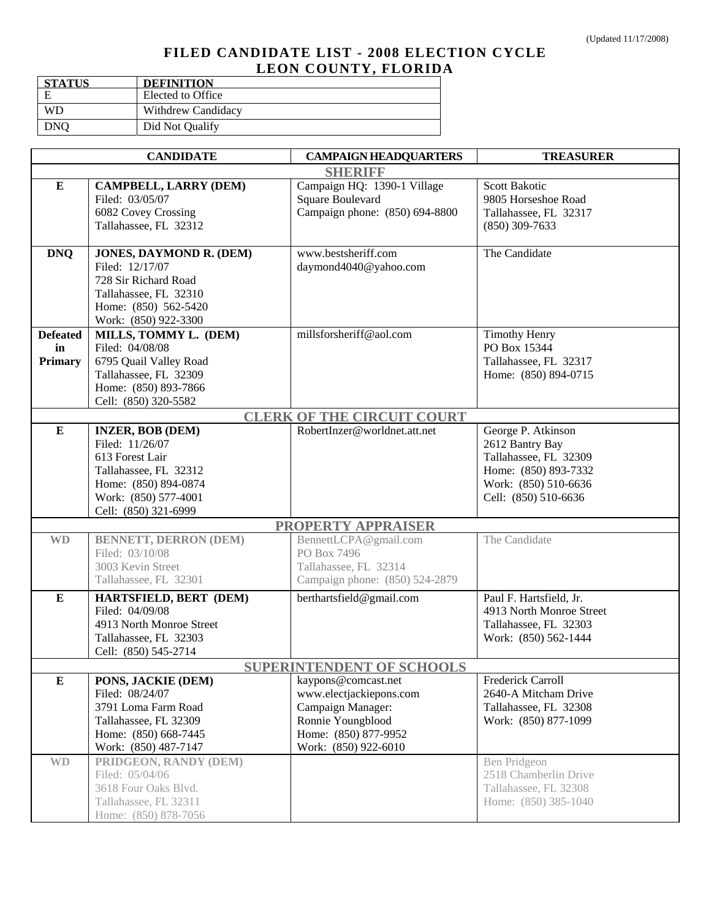## **FILED CANDIDATE LIST - 2008 ELECTION CYCLE LEON COUNTY, FLORIDA**

| <b>STATUS</b> | <b>DEFINITION</b>  |
|---------------|--------------------|
| F             | Elected to Office  |
| WD            | Withdrew Candidacy |
| DNO           | Did Not Qualify    |

|                                  | <b>CANDIDATE</b>             | <b>CAMPAIGN HEADQUARTERS</b>      | <b>TREASURER</b>         |  |
|----------------------------------|------------------------------|-----------------------------------|--------------------------|--|
|                                  |                              | <b>SHERIFF</b>                    |                          |  |
| ${\bf E}$                        | <b>CAMPBELL, LARRY (DEM)</b> | Campaign HQ: 1390-1 Village       | <b>Scott Bakotic</b>     |  |
|                                  | Filed: 03/05/07              | Square Boulevard                  | 9805 Horseshoe Road      |  |
|                                  | 6082 Covey Crossing          | Campaign phone: (850) 694-8800    | Tallahassee, FL 32317    |  |
|                                  | Tallahassee, FL 32312        |                                   | $(850)$ 309-7633         |  |
|                                  |                              |                                   |                          |  |
| <b>DNQ</b>                       | JONES, DAYMOND R. (DEM)      | www.bestsheriff.com               | The Candidate            |  |
|                                  | Filed: 12/17/07              | daymond4040@yahoo.com             |                          |  |
|                                  | 728 Sir Richard Road         |                                   |                          |  |
|                                  | Tallahassee, FL 32310        |                                   |                          |  |
|                                  | Home: (850) 562-5420         |                                   |                          |  |
|                                  | Work: (850) 922-3300         |                                   |                          |  |
| <b>Defeated</b>                  | MILLS, TOMMY L. (DEM)        | millsforsheriff@aol.com           | <b>Timothy Henry</b>     |  |
| in                               | Filed: 04/08/08              |                                   | PO Box 15344             |  |
| <b>Primary</b>                   | 6795 Quail Valley Road       |                                   | Tallahassee, FL 32317    |  |
|                                  | Tallahassee, FL 32309        |                                   | Home: (850) 894-0715     |  |
|                                  | Home: (850) 893-7866         |                                   |                          |  |
|                                  | Cell: (850) 320-5582         |                                   |                          |  |
|                                  |                              | <b>CLERK OF THE CIRCUIT COURT</b> |                          |  |
| $\bf{E}$                         | <b>INZER, BOB (DEM)</b>      | RobertInzer@worldnet.att.net      | George P. Atkinson       |  |
|                                  | Filed: 11/26/07              |                                   | 2612 Bantry Bay          |  |
|                                  | 613 Forest Lair              |                                   | Tallahassee, FL 32309    |  |
|                                  | Tallahassee, FL 32312        |                                   | Home: (850) 893-7332     |  |
|                                  | Home: (850) 894-0874         |                                   | Work: (850) 510-6636     |  |
|                                  | Work: (850) 577-4001         |                                   | Cell: (850) 510-6636     |  |
|                                  | Cell: (850) 321-6999         |                                   |                          |  |
|                                  |                              | <b>PROPERTY APPRAISER</b>         |                          |  |
| <b>WD</b>                        | <b>BENNETT, DERRON (DEM)</b> | BennettLCPA@gmail.com             | The Candidate            |  |
|                                  | Filed: 03/10/08              | PO Box 7496                       |                          |  |
|                                  | 3003 Kevin Street            | Tallahassee, FL 32314             |                          |  |
|                                  | Tallahassee, FL 32301        | Campaign phone: (850) 524-2879    |                          |  |
| ${\bf E}$                        | HARTSFIELD, BERT (DEM)       | berthartsfield@gmail.com          | Paul F. Hartsfield, Jr.  |  |
|                                  | Filed: 04/09/08              |                                   | 4913 North Monroe Street |  |
|                                  | 4913 North Monroe Street     |                                   | Tallahassee, FL 32303    |  |
|                                  | Tallahassee, FL 32303        |                                   | Work: (850) 562-1444     |  |
|                                  | Cell: (850) 545-2714         |                                   |                          |  |
| <b>SUPERINTENDENT OF SCHOOLS</b> |                              |                                   |                          |  |
| ${\bf E}$                        | PONS, JACKIE (DEM)           | kaypons@comcast.net               | Frederick Carroll        |  |
|                                  | Filed: 08/24/07              | www.electjackiepons.com           | 2640-A Mitcham Drive     |  |
|                                  | 3791 Loma Farm Road          | Campaign Manager:                 | Tallahassee, FL 32308    |  |
|                                  | Tallahassee, FL 32309        | Ronnie Youngblood                 | Work: (850) 877-1099     |  |
|                                  | Home: (850) 668-7445         | Home: (850) 877-9952              |                          |  |
|                                  | Work: (850) 487-7147         | Work: (850) 922-6010              |                          |  |
| $\mathbf{W}\mathbf{D}$           | PRIDGEON, RANDY (DEM)        |                                   | Ben Pridgeon             |  |
|                                  | Filed: 05/04/06              |                                   | 2518 Chamberlin Drive    |  |
|                                  | 3618 Four Oaks Blvd.         |                                   | Tallahassee, FL 32308    |  |
|                                  | Tallahassee, FL 32311        |                                   | Home: (850) 385-1040     |  |
|                                  | Home: (850) 878-7056         |                                   |                          |  |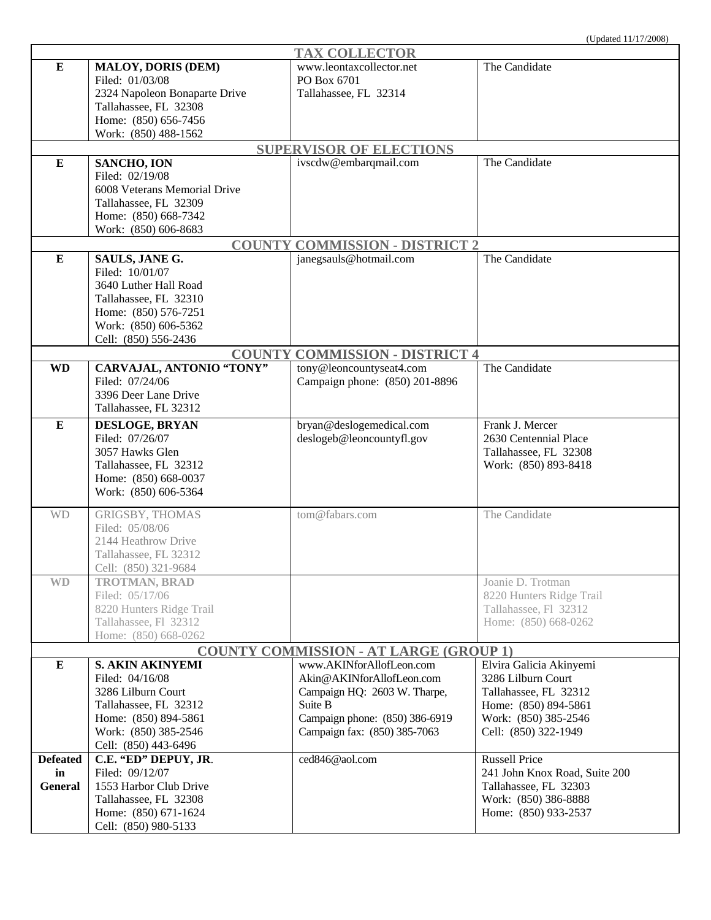|                 |                               | <b>TAX COLLECTOR</b>                          |                               |
|-----------------|-------------------------------|-----------------------------------------------|-------------------------------|
| ${\bf E}$       | <b>MALOY, DORIS (DEM)</b>     | www.leontaxcollector.net                      | The Candidate                 |
|                 | Filed: 01/03/08               | PO Box 6701                                   |                               |
|                 | 2324 Napoleon Bonaparte Drive | Tallahassee, FL 32314                         |                               |
|                 | Tallahassee, FL 32308         |                                               |                               |
|                 |                               |                                               |                               |
|                 | Home: (850) 656-7456          |                                               |                               |
|                 | Work: (850) 488-1562          |                                               |                               |
|                 |                               | <b>SUPERVISOR OF ELECTIONS</b>                |                               |
| ${\bf E}$       | SANCHO, ION                   | ivscdw@embarqmail.com                         | The Candidate                 |
|                 | Filed: 02/19/08               |                                               |                               |
|                 | 6008 Veterans Memorial Drive  |                                               |                               |
|                 | Tallahassee, FL 32309         |                                               |                               |
|                 | Home: (850) 668-7342          |                                               |                               |
|                 | Work: (850) 606-8683          |                                               |                               |
|                 |                               | <b>COUNTY COMMISSION - DISTRICT 2</b>         |                               |
| ${\bf E}$       | SAULS, JANE G.                | janegsauls@hotmail.com                        | The Candidate                 |
|                 | Filed: 10/01/07               |                                               |                               |
|                 | 3640 Luther Hall Road         |                                               |                               |
|                 | Tallahassee, FL 32310         |                                               |                               |
|                 | Home: (850) 576-7251          |                                               |                               |
|                 | Work: (850) 606-5362          |                                               |                               |
|                 | Cell: (850) 556-2436          |                                               |                               |
|                 | <b>COUNTY</b>                 | <b>COMMISSION - DISTRICT 4</b>                |                               |
| <b>WD</b>       | CARVAJAL, ANTONIO "TONY"      | tony@leoncountyseat4.com                      | The Candidate                 |
|                 | Filed: 07/24/06               | Campaign phone: (850) 201-8896                |                               |
|                 | 3396 Deer Lane Drive          |                                               |                               |
|                 | Tallahassee, FL 32312         |                                               |                               |
|                 |                               |                                               |                               |
| ${\bf E}$       | DESLOGE, BRYAN                | bryan@deslogemedical.com                      | Frank J. Mercer               |
|                 | Filed: 07/26/07               | deslogeb@leoncountyfl.gov                     | 2630 Centennial Place         |
|                 | 3057 Hawks Glen               |                                               | Tallahassee, FL 32308         |
|                 | Tallahassee, FL 32312         |                                               | Work: (850) 893-8418          |
|                 | Home: (850) 668-0037          |                                               |                               |
|                 | Work: (850) 606-5364          |                                               |                               |
| <b>WD</b>       | <b>GRIGSBY, THOMAS</b>        | tom@fabars.com                                | The Candidate                 |
|                 | Filed: 05/08/06               |                                               |                               |
|                 |                               |                                               |                               |
|                 | 2144 Heathrow Drive           |                                               |                               |
|                 | Tallahassee, FL 32312         |                                               |                               |
|                 | Cell: (850) 321-9684          |                                               |                               |
| <b>WD</b>       | <b>TROTMAN, BRAD</b>          |                                               | Joanie D. Trotman             |
|                 | Filed: 05/17/06               |                                               | 8220 Hunters Ridge Trail      |
|                 | 8220 Hunters Ridge Trail      |                                               | Tallahassee, Fl 32312         |
|                 | Tallahassee, Fl 32312         |                                               | Home: (850) 668-0262          |
|                 | Home: (850) 668-0262          |                                               |                               |
|                 |                               | <b>COUNTY COMMISSION - AT LARGE (GROUP 1)</b> |                               |
| ${\bf E}$       | <b>S. AKIN AKINYEMI</b>       | www.AKINforAllofLeon.com                      | Elvira Galicia Akinyemi       |
|                 | Filed: 04/16/08               | Akin@AKINforAllofLeon.com                     | 3286 Lilburn Court            |
|                 | 3286 Lilburn Court            | Campaign HQ: 2603 W. Tharpe,                  | Tallahassee, FL 32312         |
|                 | Tallahassee, FL 32312         | Suite B                                       | Home: (850) 894-5861          |
|                 | Home: (850) 894-5861          | Campaign phone: (850) 386-6919                | Work: (850) 385-2546          |
|                 | Work: (850) 385-2546          | Campaign fax: (850) 385-7063                  | Cell: (850) 322-1949          |
|                 | Cell: (850) 443-6496          |                                               |                               |
| <b>Defeated</b> | C.E. "ED" DEPUY, JR.          | ced846@aol.com                                | <b>Russell Price</b>          |
| in              | Filed: 09/12/07               |                                               | 241 John Knox Road, Suite 200 |
| <b>General</b>  | 1553 Harbor Club Drive        |                                               | Tallahassee, FL 32303         |
|                 | Tallahassee, FL 32308         |                                               | Work: (850) 386-8888          |
|                 |                               |                                               |                               |
|                 | Home: (850) 671-1624          |                                               | Home: (850) 933-2537          |
|                 | Cell: (850) 980-5133          |                                               |                               |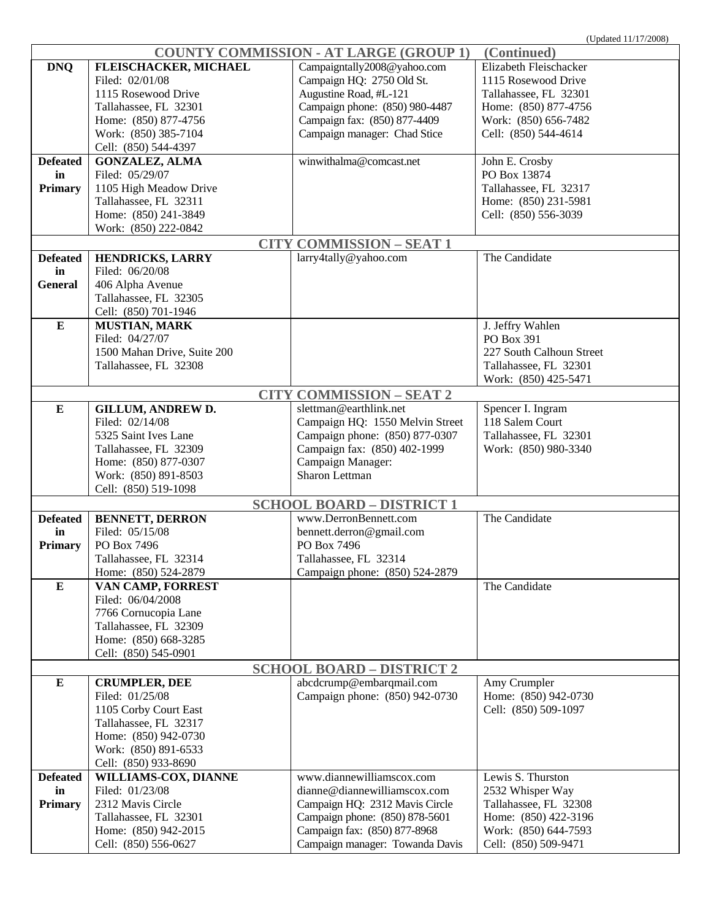| <b>COUNTY COMMISSION - AT LARGE (GROUP 1)</b><br>(Continued) |                             |                                  |                          |  |
|--------------------------------------------------------------|-----------------------------|----------------------------------|--------------------------|--|
| <b>DNQ</b>                                                   | FLEISCHACKER, MICHAEL       | Campaigntally2008@yahoo.com      | Elizabeth Fleischacker   |  |
|                                                              | Filed: 02/01/08             | Campaign HQ: 2750 Old St.        | 1115 Rosewood Drive      |  |
|                                                              | 1115 Rosewood Drive         | Augustine Road, #L-121           | Tallahassee, FL 32301    |  |
|                                                              | Tallahassee, FL 32301       | Campaign phone: (850) 980-4487   | Home: (850) 877-4756     |  |
|                                                              | Home: (850) 877-4756        | Campaign fax: (850) 877-4409     | Work: (850) 656-7482     |  |
|                                                              | Work: (850) 385-7104        | Campaign manager: Chad Stice     | Cell: (850) 544-4614     |  |
|                                                              | Cell: (850) 544-4397        |                                  |                          |  |
| <b>Defeated</b>                                              | <b>GONZALEZ, ALMA</b>       | winwithalma@comcast.net          | John E. Crosby           |  |
| in                                                           | Filed: 05/29/07             |                                  | PO Box 13874             |  |
|                                                              |                             |                                  |                          |  |
| <b>Primary</b>                                               | 1105 High Meadow Drive      |                                  | Tallahassee, FL 32317    |  |
|                                                              | Tallahassee, FL 32311       |                                  | Home: (850) 231-5981     |  |
|                                                              | Home: (850) 241-3849        |                                  | Cell: (850) 556-3039     |  |
|                                                              | Work: (850) 222-0842        |                                  |                          |  |
|                                                              |                             | <b>CITY COMMISSION - SEAT 1</b>  |                          |  |
| <b>Defeated</b>                                              | HENDRICKS, LARRY            | larry4tally@yahoo.com            | The Candidate            |  |
| in                                                           | Filed: 06/20/08             |                                  |                          |  |
| <b>General</b>                                               | 406 Alpha Avenue            |                                  |                          |  |
|                                                              | Tallahassee, FL 32305       |                                  |                          |  |
|                                                              | Cell: (850) 701-1946        |                                  |                          |  |
| ${\bf E}$                                                    | <b>MUSTIAN, MARK</b>        |                                  | J. Jeffry Wahlen         |  |
|                                                              | Filed: 04/27/07             |                                  | PO Box 391               |  |
|                                                              | 1500 Mahan Drive, Suite 200 |                                  | 227 South Calhoun Street |  |
|                                                              | Tallahassee, FL 32308       |                                  | Tallahassee, FL 32301    |  |
|                                                              |                             |                                  | Work: (850) 425-5471     |  |
|                                                              |                             | <b>CITY COMMISSION - SEAT 2</b>  |                          |  |
| ${\bf E}$                                                    | <b>GILLUM, ANDREW D.</b>    | slettman@earthlink.net           | Spencer I. Ingram        |  |
|                                                              | Filed: 02/14/08             | Campaign HQ: 1550 Melvin Street  | 118 Salem Court          |  |
|                                                              |                             |                                  |                          |  |
|                                                              | 5325 Saint Ives Lane        | Campaign phone: (850) 877-0307   | Tallahassee, FL 32301    |  |
|                                                              | Tallahassee, FL 32309       | Campaign fax: (850) 402-1999     | Work: (850) 980-3340     |  |
|                                                              | Home: (850) 877-0307        | Campaign Manager:                |                          |  |
|                                                              | Work: (850) 891-8503        | Sharon Lettman                   |                          |  |
|                                                              | Cell: (850) 519-1098        |                                  |                          |  |
|                                                              |                             | <b>SCHOOL BOARD - DISTRICT 1</b> |                          |  |
| <b>Defeated</b>                                              | <b>BENNETT, DERRON</b>      | www.DerronBennett.com            | The Candidate            |  |
| in                                                           | Filed: 05/15/08             | bennett.derron@gmail.com         |                          |  |
| <b>Primary</b>                                               | PO Box 7496                 | PO Box 7496                      |                          |  |
|                                                              | Tallahassee, FL 32314       | Tallahassee, FL 32314            |                          |  |
|                                                              | Home: (850) 524-2879        | Campaign phone: (850) 524-2879   |                          |  |
| $\bf{E}$                                                     | VAN CAMP, FORREST           |                                  | The Candidate            |  |
|                                                              | Filed: 06/04/2008           |                                  |                          |  |
|                                                              | 7766 Cornucopia Lane        |                                  |                          |  |
|                                                              | Tallahassee, FL 32309       |                                  |                          |  |
|                                                              | Home: (850) 668-3285        |                                  |                          |  |
|                                                              | Cell: (850) 545-0901        |                                  |                          |  |
| <b>SCHOOL BOARD - DISTRICT 2</b>                             |                             |                                  |                          |  |
| ${\bf E}$                                                    | <b>CRUMPLER, DEE</b>        | abcdcrump@embarqmail.com         | Amy Crumpler             |  |
|                                                              | Filed: 01/25/08             | Campaign phone: (850) 942-0730   | Home: (850) 942-0730     |  |
|                                                              | 1105 Corby Court East       |                                  | Cell: (850) 509-1097     |  |
|                                                              | Tallahassee, FL 32317       |                                  |                          |  |
|                                                              | Home: (850) 942-0730        |                                  |                          |  |
|                                                              | Work: (850) 891-6533        |                                  |                          |  |
|                                                              | Cell: (850) 933-8690        |                                  |                          |  |
| <b>Defeated</b>                                              | WILLIAMS-COX, DIANNE        | www.diannewilliamscox.com        | Lewis S. Thurston        |  |
|                                                              |                             |                                  |                          |  |
| in                                                           | Filed: 01/23/08             | dianne@diannewilliamscox.com     | 2532 Whisper Way         |  |
| <b>Primary</b>                                               | 2312 Mavis Circle           | Campaign HQ: 2312 Mavis Circle   | Tallahassee, FL 32308    |  |
|                                                              | Tallahassee, FL 32301       | Campaign phone: (850) 878-5601   | Home: (850) 422-3196     |  |
|                                                              | Home: (850) 942-2015        | Campaign fax: (850) 877-8968     | Work: (850) 644-7593     |  |
|                                                              | Cell: (850) 556-0627        | Campaign manager: Towanda Davis  | Cell: (850) 509-9471     |  |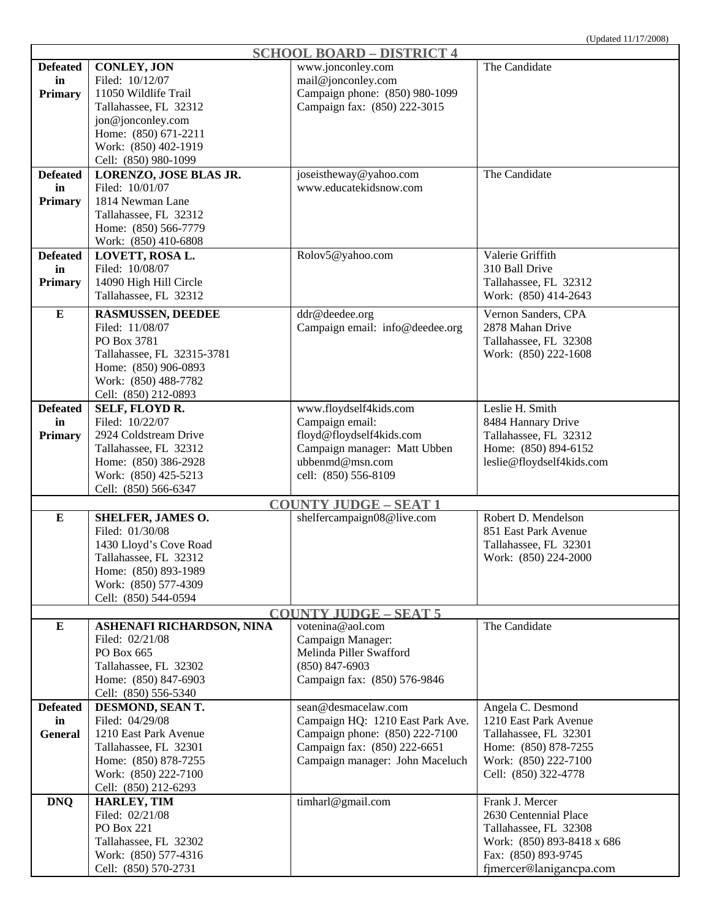|                 |                                              | <b>SCHOOL BOARD - DISTRICT 4</b> |                                                |
|-----------------|----------------------------------------------|----------------------------------|------------------------------------------------|
| <b>Defeated</b> | <b>CONLEY, JON</b>                           | www.jonconley.com                | The Candidate                                  |
| in              | Filed: 10/12/07                              | mail@jonconley.com               |                                                |
| <b>Primary</b>  | 11050 Wildlife Trail                         | Campaign phone: (850) 980-1099   |                                                |
|                 | Tallahassee, FL 32312                        | Campaign fax: (850) 222-3015     |                                                |
|                 | jon@jonconley.com                            |                                  |                                                |
|                 | Home: (850) 671-2211                         |                                  |                                                |
|                 | Work: (850) 402-1919                         |                                  |                                                |
|                 | Cell: (850) 980-1099                         |                                  |                                                |
| <b>Defeated</b> | LORENZO, JOSE BLAS JR.                       | joseistheway@yahoo.com           | The Candidate                                  |
| in              | Filed: 10/01/07                              | www.educatekidsnow.com           |                                                |
|                 | 1814 Newman Lane                             |                                  |                                                |
| Primary         |                                              |                                  |                                                |
|                 | Tallahassee, FL 32312                        |                                  |                                                |
|                 | Home: (850) 566-7779                         |                                  |                                                |
|                 | Work: (850) 410-6808                         |                                  |                                                |
| <b>Defeated</b> | LOVETT, ROSA L.                              | Rolov5@yahoo.com                 | Valerie Griffith                               |
| in              | Filed: 10/08/07                              |                                  | 310 Ball Drive                                 |
| <b>Primary</b>  | 14090 High Hill Circle                       |                                  | Tallahassee, FL 32312                          |
|                 | Tallahassee, FL 32312                        |                                  | Work: (850) 414-2643                           |
| ${\bf E}$       | <b>RASMUSSEN, DEEDEE</b>                     | ddr@deedee.org                   | Vernon Sanders, CPA                            |
|                 | Filed: 11/08/07                              | Campaign email: info@deedee.org  | 2878 Mahan Drive                               |
|                 | PO Box 3781                                  |                                  | Tallahassee, FL 32308                          |
|                 | Tallahassee, FL 32315-3781                   |                                  | Work: (850) 222-1608                           |
|                 | Home: (850) 906-0893                         |                                  |                                                |
|                 | Work: (850) 488-7782                         |                                  |                                                |
|                 | Cell: (850) 212-0893                         |                                  |                                                |
| <b>Defeated</b> | SELF, FLOYD R.                               |                                  | Leslie H. Smith                                |
|                 | Filed: 10/22/07                              | www.floydself4kids.com           |                                                |
| in              |                                              | Campaign email:                  | 8484 Hannary Drive<br>Tallahassee, FL 32312    |
| <b>Primary</b>  | 2924 Coldstream Drive                        | floyd@floydself4kids.com         |                                                |
|                 | Tallahassee, FL 32312                        | Campaign manager: Matt Ubben     | Home: (850) 894-6152                           |
|                 | Home: (850) 386-2928                         | ubbenmd@msn.com                  | leslie@floydself4kids.com                      |
|                 | Work: (850) 425-5213                         | cell: (850) 556-8109             |                                                |
|                 | Cell: (850) 566-6347                         |                                  |                                                |
|                 |                                              | <b>COUNTY JUDGE - SEAT 1</b>     |                                                |
| ${\bf E}$       | <b>SHELFER, JAMES O.</b>                     | shelfercampaign08@live.com       | Robert D. Mendelson                            |
|                 | Filed: 01/30/08                              |                                  | 851 East Park Avenue                           |
|                 | 1430 Lloyd's Cove Road                       |                                  | Tallahassee, FL 32301                          |
|                 | Tallahassee, FL 32312                        |                                  | Work: (850) 224-2000                           |
|                 | Home: (850) 893-1989                         |                                  |                                                |
|                 | Work: (850) 577-4309                         |                                  |                                                |
|                 | Cell: (850) 544-0594                         |                                  |                                                |
|                 |                                              | <b>COUNTY JUDGE - SEAT 5</b>     |                                                |
| ${\bf E}$       | ASHENAFI RICHARDSON, NINA                    | votenina@aol.com                 | The Candidate                                  |
|                 | Filed: 02/21/08                              | Campaign Manager:                |                                                |
|                 | PO Box 665                                   | Melinda Piller Swafford          |                                                |
|                 | Tallahassee, FL 32302                        | $(850)$ 847-6903                 |                                                |
|                 | Home: (850) 847-6903                         | Campaign fax: (850) 576-9846     |                                                |
|                 | Cell: (850) 556-5340                         |                                  |                                                |
| <b>Defeated</b> | DESMOND, SEAN T.                             | sean@desmacelaw.com              | Angela C. Desmond                              |
| in              | Filed: 04/29/08                              | Campaign HQ: 1210 East Park Ave. | 1210 East Park Avenue                          |
| <b>General</b>  | 1210 East Park Avenue                        | Campaign phone: (850) 222-7100   | Tallahassee, FL 32301                          |
|                 | Tallahassee, FL 32301                        | Campaign fax: (850) 222-6651     | Home: (850) 878-7255                           |
|                 | Home: (850) 878-7255                         | Campaign manager: John Maceluch  | Work: (850) 222-7100                           |
|                 | Work: (850) 222-7100                         |                                  |                                                |
|                 |                                              |                                  | Cell: (850) 322-4778                           |
| <b>DNQ</b>      | Cell: (850) 212-6293<br><b>HARLEY, TIM</b>   |                                  | Frank J. Mercer                                |
|                 |                                              | timharl@gmail.com                |                                                |
|                 |                                              |                                  |                                                |
|                 | Filed: 02/21/08                              |                                  | 2630 Centennial Place                          |
|                 | <b>PO Box 221</b>                            |                                  | Tallahassee, FL 32308                          |
|                 | Tallahassee, FL 32302                        |                                  | Work: (850) 893-8418 x 686                     |
|                 | Work: (850) 577-4316<br>Cell: (850) 570-2731 |                                  | Fax: (850) 893-9745<br>fjmercer@lanigancpa.com |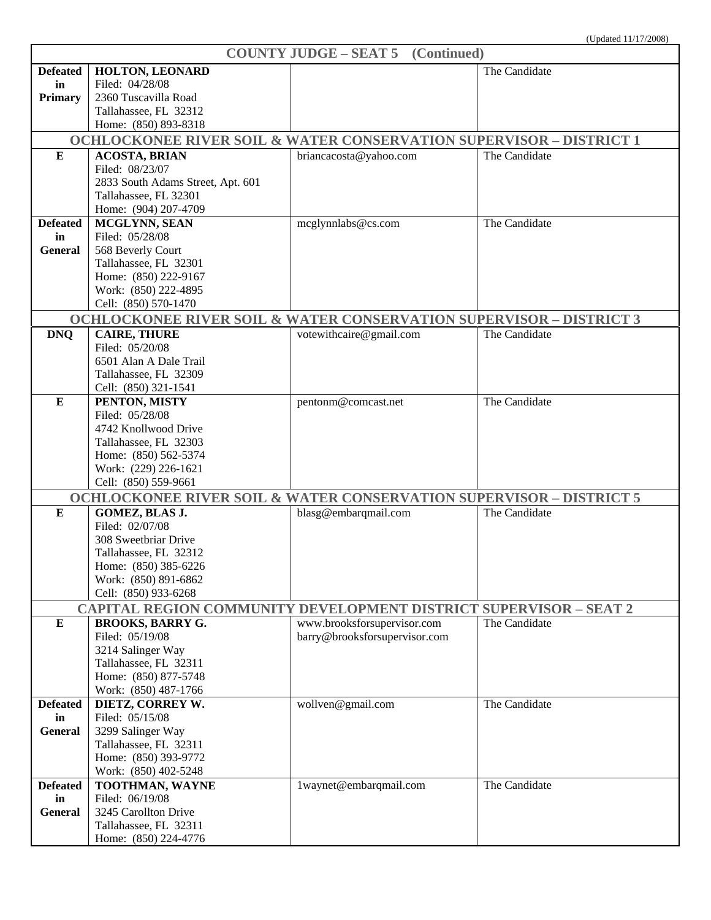| <b>COUNTY JUDGE – SEAT 5</b> (Continued) |                                                                                |                               |               |
|------------------------------------------|--------------------------------------------------------------------------------|-------------------------------|---------------|
| <b>Defeated</b>                          | HOLTON, LEONARD                                                                |                               | The Candidate |
| in                                       | Filed: 04/28/08                                                                |                               |               |
| <b>Primary</b>                           | 2360 Tuscavilla Road                                                           |                               |               |
|                                          | Tallahassee, FL 32312                                                          |                               |               |
|                                          | Home: (850) 893-8318                                                           |                               |               |
|                                          | <b>OCHLOCKONEE RIVER SOIL &amp; WATER CONSERVATION SUPERVISOR - DISTRICT 1</b> |                               |               |
| $\bf{E}$                                 | <b>ACOSTA, BRIAN</b>                                                           | briancacosta@yahoo.com        | The Candidate |
|                                          | Filed: 08/23/07                                                                |                               |               |
|                                          | 2833 South Adams Street, Apt. 601                                              |                               |               |
|                                          | Tallahassee, FL 32301                                                          |                               |               |
|                                          |                                                                                |                               |               |
|                                          | Home: (904) 207-4709                                                           |                               |               |
| <b>Defeated</b>                          | <b>MCGLYNN, SEAN</b><br>Filed: 05/28/08                                        | mcglynnlabs@cs.com            | The Candidate |
| in                                       |                                                                                |                               |               |
| General                                  | 568 Beverly Court                                                              |                               |               |
|                                          | Tallahassee, FL 32301                                                          |                               |               |
|                                          | Home: (850) 222-9167                                                           |                               |               |
|                                          | Work: (850) 222-4895                                                           |                               |               |
|                                          | Cell: (850) 570-1470                                                           |                               |               |
|                                          | <b>OCHLOCKONEE RIVER SOIL &amp; WATER CONSERVATION SUPERVISOR - DISTRICT 3</b> |                               |               |
| <b>DNQ</b>                               | <b>CAIRE, THURE</b>                                                            | votewithcaire@gmail.com       | The Candidate |
|                                          | Filed: 05/20/08                                                                |                               |               |
|                                          | 6501 Alan A Dale Trail                                                         |                               |               |
|                                          | Tallahassee, FL 32309                                                          |                               |               |
|                                          | Cell: (850) 321-1541                                                           |                               |               |
| ${\bf E}$                                | PENTON, MISTY                                                                  | pentonm@comcast.net           | The Candidate |
|                                          | Filed: 05/28/08                                                                |                               |               |
|                                          | 4742 Knollwood Drive                                                           |                               |               |
|                                          | Tallahassee, FL 32303                                                          |                               |               |
|                                          | Home: (850) 562-5374                                                           |                               |               |
|                                          | Work: (229) 226-1621                                                           |                               |               |
|                                          | Cell: (850) 559-9661                                                           |                               |               |
|                                          | <b>OCHLOCKONEE RIVER SOIL &amp; WATER CONSERVATION SUPERVISOR - DISTRICT 5</b> |                               |               |
| ${\bf E}$                                | GOMEZ, BLAS J.                                                                 | blasg@embarqmail.com          | The Candidate |
|                                          | Filed: 02/07/08                                                                |                               |               |
|                                          | 308 Sweetbriar Drive                                                           |                               |               |
|                                          | Tallahassee, FL 32312                                                          |                               |               |
|                                          | Home: (850) 385-6226                                                           |                               |               |
|                                          | Work: (850) 891-6862                                                           |                               |               |
|                                          | Cell: (850) 933-6268                                                           |                               |               |
|                                          | CAPITAL REGION COMMUNITY DEVELOPMENT DISTRICT SUPERVISOR - SEAT 2              |                               |               |
| ${\bf E}$                                | <b>BROOKS, BARRY G.</b>                                                        | www.brooksforsupervisor.com   | The Candidate |
|                                          | Filed: 05/19/08                                                                | barry@brooksforsupervisor.com |               |
|                                          | 3214 Salinger Way                                                              |                               |               |
|                                          | Tallahassee, FL 32311                                                          |                               |               |
|                                          | Home: (850) 877-5748                                                           |                               |               |
|                                          | Work: (850) 487-1766                                                           |                               |               |
| <b>Defeated</b>                          | DIETZ, CORREY W.                                                               | wollven@gmail.com             | The Candidate |
| in                                       | Filed: 05/15/08                                                                |                               |               |
| <b>General</b>                           | 3299 Salinger Way                                                              |                               |               |
|                                          | Tallahassee, FL 32311                                                          |                               |               |
|                                          | Home: (850) 393-9772                                                           |                               |               |
|                                          | Work: (850) 402-5248                                                           |                               |               |
| <b>Defeated</b>                          | TOOTHMAN, WAYNE                                                                | 1waynet@embarqmail.com        | The Candidate |
| in                                       | Filed: 06/19/08                                                                |                               |               |
| <b>General</b>                           | 3245 Carollton Drive                                                           |                               |               |
|                                          | Tallahassee, FL 32311                                                          |                               |               |
|                                          | Home: (850) 224-4776                                                           |                               |               |